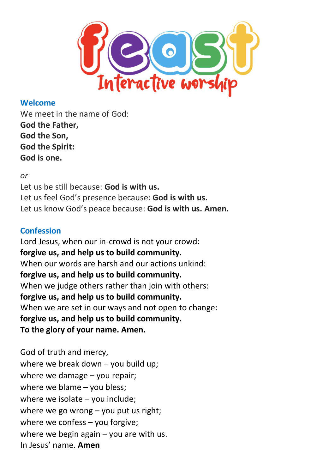

### **Welcome**

We meet in the name of God: **God the Father, God the Son, God the Spirit: God is one.**

# *or*

Let us be still because: **God is with us.** Let us feel God's presence because: **God is with us.** Let us know God's peace because: **God is with us. Amen.**

# **Confession**

Lord Jesus, when our in-crowd is not your crowd: **forgive us, and help us to build community.** When our words are harsh and our actions unkind: **forgive us, and help us to build community.** When we judge others rather than join with others: **forgive us, and help us to build community.** When we are set in our ways and not open to change: **forgive us, and help us to build community. To the glory of your name. Amen.**

God of truth and mercy, where we break down – you build up; where we damage – you repair; where we blame – you bless; where we isolate – you include; where we go wrong – you put us right; where we confess – you forgive; where we begin again – you are with us. In Jesus' name. **Amen**